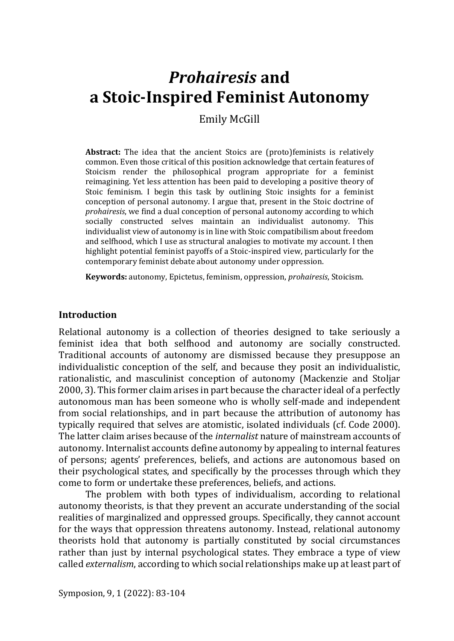# *Prohairesis* **and a Stoic-Inspired Feminist Autonomy**

Emily McGill

**Abstract:** The idea that the ancient Stoics are (proto)feminists is relatively common. Even those critical of this position acknowledge that certain features of Stoicism render the philosophical program appropriate for a feminist reimagining. Yet less attention has been paid to developing a positive theory of Stoic feminism. I begin this task by outlining Stoic insights for a feminist conception of personal autonomy. I argue that, present in the Stoic doctrine of *prohairesis*, we find a dual conception of personal autonomy according to which socially constructed selves maintain an individualist autonomy. This individualist view of autonomy is in line with Stoic compatibilism about freedom and selfhood, which I use as structural analogies to motivate my account. I then highlight potential feminist payoffs of a Stoic-inspired view, particularly for the contemporary feminist debate about autonomy under oppression.

**Keywords:** autonomy, Epictetus, feminism, oppression, *prohairesis*, Stoicism.

#### **Introduction**

Relational autonomy is a collection of theories designed to take seriously a feminist idea that both selfhood and autonomy are socially constructed. Traditional accounts of autonomy are dismissed because they presuppose an individualistic conception of the self, and because they posit an individualistic, rationalistic, and masculinist conception of autonomy (Mackenzie and Stoljar 2000, 3). This former claim arises in part because the character ideal of a perfectly autonomous man has been someone who is wholly self-made and independent from social relationships, and in part because the attribution of autonomy has typically required that selves are atomistic, isolated individuals (cf. Code 2000). The latter claim arises because of the *internalist* nature of mainstream accounts of autonomy. Internalist accounts define autonomy by appealing to internal features of persons; agents' preferences, beliefs, and actions are autonomous based on their psychological states, and specifically by the processes through which they come to form or undertake these preferences, beliefs, and actions.

The problem with both types of individualism, according to relational autonomy theorists, is that they prevent an accurate understanding of the social realities of marginalized and oppressed groups. Specifically, they cannot account for the ways that oppression threatens autonomy. Instead, relational autonomy theorists hold that autonomy is partially constituted by social circumstances rather than just by internal psychological states. They embrace a type of view called *externalism*, according to which social relationships make up at least part of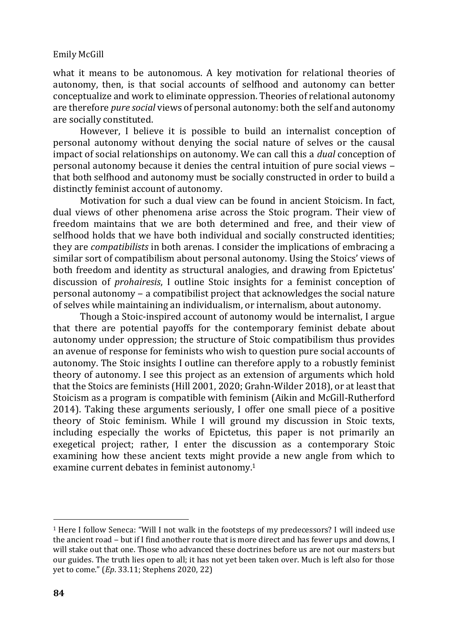what it means to be autonomous. A key motivation for relational theories of autonomy, then, is that social accounts of selfhood and autonomy can better conceptualize and work to eliminate oppression. Theories of relational autonomy are therefore *pure social* views of personal autonomy: both the self and autonomy are socially constituted.

However, I believe it is possible to build an internalist conception of personal autonomy without denying the social nature of selves or the causal impact of social relationships on autonomy. We can call this a *dual* conception of personal autonomy because it denies the central intuition of pure social views ‒ that both selfhood and autonomy must be socially constructed in order to build a distinctly feminist account of autonomy.

Motivation for such a dual view can be found in ancient Stoicism. In fact, dual views of other phenomena arise across the Stoic program. Their view of freedom maintains that we are both determined and free, and their view of selfhood holds that we have both individual and socially constructed identities; they are *compatibilists* in both arenas. I consider the implications of embracing a similar sort of compatibilism about personal autonomy. Using the Stoics' views of both freedom and identity as structural analogies, and drawing from Epictetus' discussion of *prohairesis*, I outline Stoic insights for a feminist conception of  $p$ ersonal autonomy  $-$  a compatibilist project that acknowledges the social nature of selves while maintaining an individualism, or internalism, about autonomy.

Though a Stoic-inspired account of autonomy would be internalist, I argue that there are potential payoffs for the contemporary feminist debate about autonomy under oppression; the structure of Stoic compatibilism thus provides an avenue of response for feminists who wish to question pure social accounts of autonomy. The Stoic insights I outline can therefore apply to a robustly feminist theory of autonomy. I see this project as an extension of arguments which hold that the Stoics are feminists (Hill 2001, 2020; Grahn-Wilder 2018), or at least that Stoicism as a program is compatible with feminism (Aikin and McGill-Rutherford 2014). Taking these arguments seriously, I offer one small piece of a positive theory of Stoic feminism. While I will ground my discussion in Stoic texts, including especially the works of Epictetus, this paper is not primarily an exegetical project; rather, I enter the discussion as a contemporary Stoic examining how these ancient texts might provide a new angle from which to examine current debates in feminist autonomy.<sup>1</sup>

<sup>1</sup> Here I follow Seneca: "Will I not walk in the footsteps of my predecessors? I will indeed use the ancient road – but if I find another route that is more direct and has fewer ups and downs. I will stake out that one. Those who advanced these doctrines before us are not our masters but our guides. The truth lies open to all; it has not yet been taken over. Much is left also for those yet to come." (*Ep*. 33.11; Stephens 2020, 22)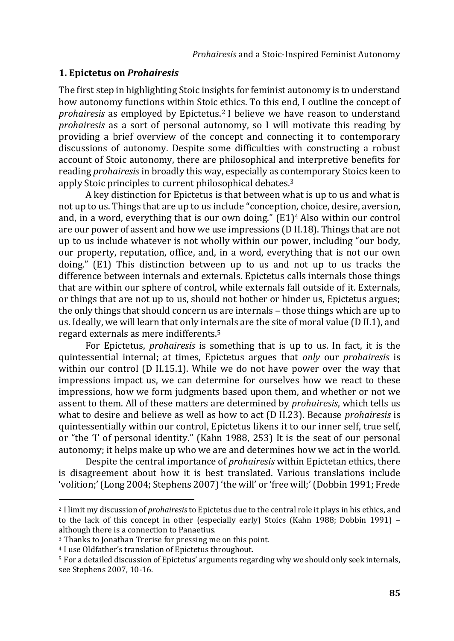### **1. Epictetus on** *Prohairesis*

The first step in highlighting Stoic insights for feminist autonomy is to understand how autonomy functions within Stoic ethics. To this end, I outline the concept of *prohairesis* as employed by Epictetus.<sup>2</sup> I believe we have reason to understand *prohairesis* as a sort of personal autonomy, so I will motivate this reading by providing a brief overview of the concept and connecting it to contemporary discussions of autonomy. Despite some difficulties with constructing a robust account of Stoic autonomy, there are philosophical and interpretive benefits for reading *prohairesis* in broadly this way, especially as contemporary Stoics keen to apply Stoic principles to current philosophical debates.<sup>3</sup>

A key distinction for Epictetus is that between what is up to us and what is not up to us. Things that are up to us include "conception, choice, desire, aversion, and, in a word, everything that is our own doing." (E1)<sup>4</sup> Also within our control are our power of assent and how we use impressions (D II.18). Things that are not up to us include whatever is not wholly within our power, including "our body, our property, reputation, office, and, in a word, everything that is not our own doing." (E1) This distinction between up to us and not up to us tracks the difference between internals and externals. Epictetus calls internals those things that are within our sphere of control, while externals fall outside of it. Externals, or things that are not up to us, should not bother or hinder us, Epictetus argues; the only things that should concern us are internals – those things which are up to us. Ideally, we will learn that only internals are the site of moral value (D II.1), and regard externals as mere indifferents.<sup>5</sup>

For Epictetus, *prohairesis* is something that is up to us. In fact, it is the quintessential internal; at times, Epictetus argues that *only* our *prohairesis* is within our control (D II.15.1). While we do not have power over the way that impressions impact us, we can determine for ourselves how we react to these impressions, how we form judgments based upon them, and whether or not we assent to them. All of these matters are determined by *prohairesis*, which tells us what to desire and believe as well as how to act (D II.23). Because *prohairesis* is quintessentially within our control, Epictetus likens it to our inner self, true self, or "the 'I' of personal identity." (Kahn 1988, 253) It is the seat of our personal autonomy; it helps make up who we are and determines how we act in the world.

Despite the central importance of *prohairesis* within Epictetan ethics, there is disagreement about how it is best translated. Various translations include 'volition;' (Long 2004; Stephens 2007) 'the will' or 'free will;' (Dobbin 1991; Frede

<sup>2</sup> I limit my discussion of *prohairesis* to Epictetus due to the central role it plays in his ethics, and to the lack of this concept in other (especially early) Stoics (Kahn 1988; Dobbin 1991) – although there is a connection to Panaetius.

<sup>3</sup> Thanks to Jonathan Trerise for pressing me on this point.

<sup>4</sup> I use Oldfather's translation of Epictetus throughout.

<sup>5</sup> For a detailed discussion of Epictetus' arguments regarding why we should only seek internals, see Stephens 2007, 10-16.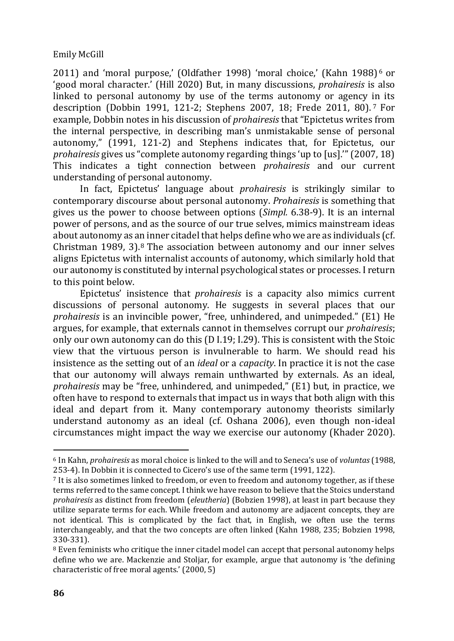2011) and 'moral purpose,' (Oldfather 1998) 'moral choice,' (Kahn 1988) <sup>6</sup> or 'good moral character.' (Hill 2020) But, in many discussions, *prohairesis* is also linked to personal autonomy by use of the terms autonomy or agency in its description (Dobbin 1991, 121-2; Stephens 2007, 18; Frede 2011, 80). <sup>7</sup> For example, Dobbin notes in his discussion of *prohairesis* that "Epictetus writes from the internal perspective, in describing man's unmistakable sense of personal autonomy," (1991, 121-2) and Stephens indicates that, for Epictetus, our *prohairesis* gives us "complete autonomy regarding things 'up to [us].'" (2007, 18) This indicates a tight connection between *prohairesis* and our current understanding of personal autonomy.

In fact, Epictetus' language about *prohairesis* is strikingly similar to contemporary discourse about personal autonomy. *Prohairesis* is something that gives us the power to choose between options (*Simpl.* 6.38-9). It is an internal power of persons, and as the source of our true selves, mimics mainstream ideas about autonomy as an inner citadel that helps define who we are as individuals (cf. Christman 1989,  $3$ ).<sup>8</sup> The association between autonomy and our inner selves aligns Epictetus with internalist accounts of autonomy, which similarly hold that our autonomy is constituted by internal psychological states or processes. I return to this point below.

Epictetus' insistence that *prohairesis* is a capacity also mimics current discussions of personal autonomy. He suggests in several places that our *prohairesis* is an invincible power, "free, unhindered, and unimpeded." (E1) He argues, for example, that externals cannot in themselves corrupt our *prohairesis*; only our own autonomy can do this (D I.19; I.29). This is consistent with the Stoic view that the virtuous person is invulnerable to harm. We should read his insistence as the setting out of an *ideal* or a *capacity*. In practice it is not the case that our autonomy will always remain unthwarted by externals. As an ideal, *prohairesis* may be "free, unhindered, and unimpeded," (E1) but, in practice, we often have to respond to externals that impact us in ways that both align with this ideal and depart from it. Many contemporary autonomy theorists similarly understand autonomy as an ideal (cf. Oshana 2006), even though non-ideal circumstances might impact the way we exercise our autonomy (Khader 2020).

<sup>6</sup> In Kahn, *prohairesis* as moral choice is linked to the will and to Seneca's use of *voluntas* (1988, 253-4). In Dobbin it is connected to Cicero's use of the same term (1991, 122).

<sup>7</sup> It is also sometimes linked to freedom, or even to freedom and autonomy together, as if these terms referred to the same concept. I think we have reason to believe that the Stoics understand *prohairesis* as distinct from freedom (*eleutheria*) (Bobzien 1998), at least in part because they utilize separate terms for each. While freedom and autonomy are adjacent concepts, they are not identical. This is complicated by the fact that, in English, we often use the terms interchangeably, and that the two concepts are often linked (Kahn 1988, 235; Bobzien 1998, 330-331).

<sup>8</sup> Even feminists who critique the inner citadel model can accept that personal autonomy helps define who we are. Mackenzie and Stoljar, for example, argue that autonomy is 'the defining characteristic of free moral agents.' (2000, 5)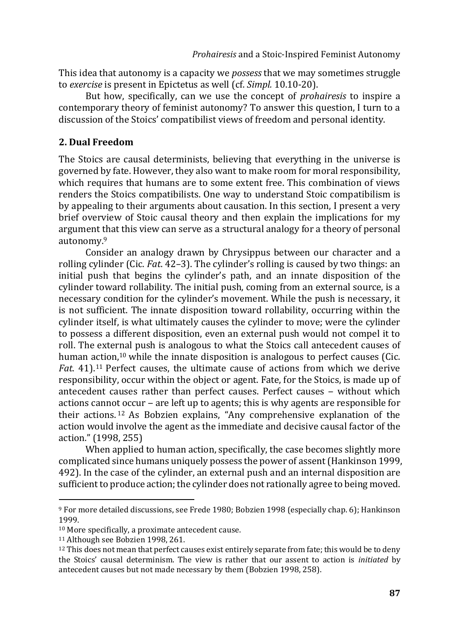This idea that autonomy is a capacity we *possess* that we may sometimes struggle to *exercise* is present in Epictetus as well (cf. *Simpl.* 10.10-20).

But how, specifically, can we use the concept of *prohairesis* to inspire a contemporary theory of feminist autonomy? To answer this question, I turn to a discussion of the Stoics' compatibilist views of freedom and personal identity.

## **2. Dual Freedom**

The Stoics are causal determinists, believing that everything in the universe is governed by fate. However, they also want to make room for moral responsibility, which requires that humans are to some extent free. This combination of views renders the Stoics compatibilists. One way to understand Stoic compatibilism is by appealing to their arguments about causation. In this section, I present a very brief overview of Stoic causal theory and then explain the implications for my argument that this view can serve as a structural analogy for a theory of personal autonomy.<sup>9</sup>

Consider an analogy drawn by Chrysippus between our character and a rolling cylinder (Cic. *Fat*. 42–3). The cylinder's rolling is caused by two things: an initial push that begins the cylinder's path, and an innate disposition of the cylinder toward rollability. The initial push, coming from an external source, is a necessary condition for the cylinder's movement. While the push is necessary, it is not sufficient. The innate disposition toward rollability, occurring within the cylinder itself, is what ultimately causes the cylinder to move; were the cylinder to possess a different disposition, even an external push would not compel it to roll. The external push is analogous to what the Stoics call antecedent causes of human action,<sup>10</sup> while the innate disposition is analogous to perfect causes (Cic. *Fat*. 41).<sup>11</sup> Perfect causes, the ultimate cause of actions from which we derive responsibility, occur within the object or agent. Fate, for the Stoics, is made up of antecedent causes rather than perfect causes. Perfect causes - without which actions cannot occur ‒ are left up to agents; this is why agents are responsible for their actions. <sup>12</sup> As Bobzien explains, "Any comprehensive explanation of the action would involve the agent as the immediate and decisive causal factor of the action." (1998, 255)

When applied to human action, specifically, the case becomes slightly more complicated since humans uniquely possess the power of assent (Hankinson 1999, 492). In the case of the cylinder, an external push and an internal disposition are sufficient to produce action; the cylinder does not rationally agree to being moved.

<sup>9</sup> For more detailed discussions, see Frede 1980; Bobzien 1998 (especially chap. 6); Hankinson 1999.

<sup>10</sup> More specifically, a proximate antecedent cause.

<sup>11</sup> Although see Bobzien 1998, 261.

 $12$  This does not mean that perfect causes exist entirely separate from fate; this would be to deny the Stoics' causal determinism. The view is rather that our assent to action is *initiated* by antecedent causes but not made necessary by them (Bobzien 1998, 258).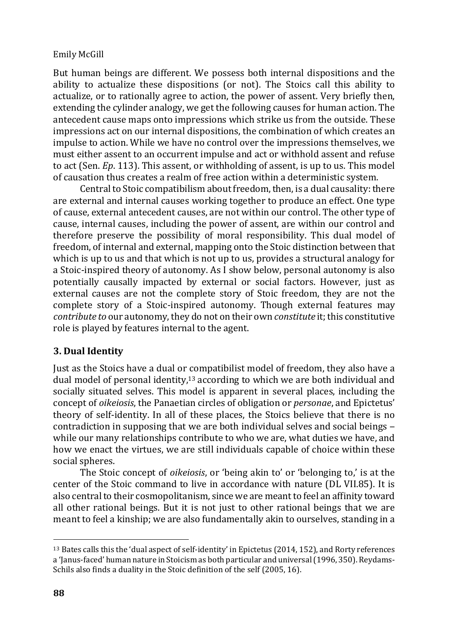But human beings are different. We possess both internal dispositions and the ability to actualize these dispositions (or not). The Stoics call this ability to actualize, or to rationally agree to action, the power of assent. Very briefly then, extending the cylinder analogy, we get the following causes for human action. The antecedent cause maps onto impressions which strike us from the outside. These impressions act on our internal dispositions, the combination of which creates an impulse to action. While we have no control over the impressions themselves, we must either assent to an occurrent impulse and act or withhold assent and refuse to act (Sen. *Ep*. 113). This assent, or withholding of assent, is up to us. This model of causation thus creates a realm of free action within a deterministic system.

Central to Stoic compatibilism about freedom, then, is a dual causality: there are external and internal causes working together to produce an effect. One type of cause, external antecedent causes, are not within our control. The other type of cause, internal causes, including the power of assent, are within our control and therefore preserve the possibility of moral responsibility. This dual model of freedom, of internal and external, mapping onto the Stoic distinction between that which is up to us and that which is not up to us, provides a structural analogy for a Stoic-inspired theory of autonomy. As I show below, personal autonomy is also potentially causally impacted by external or social factors. However, just as external causes are not the complete story of Stoic freedom, they are not the complete story of a Stoic-inspired autonomy. Though external features may *contribute to* our autonomy, they do not on their own *constitute* it; this constitutive role is played by features internal to the agent.

# **3. Dual Identity**

Just as the Stoics have a dual or compatibilist model of freedom, they also have a dual model of personal identity,<sup>13</sup> according to which we are both individual and socially situated selves. This model is apparent in several places, including the concept of *oikeiosis*, the Panaetian circles of obligation or *personae*, and Epictetus' theory of self-identity. In all of these places, the Stoics believe that there is no contradiction in supposing that we are both individual selves and social beings – while our many relationships contribute to who we are, what duties we have, and how we enact the virtues, we are still individuals capable of choice within these social spheres.

The Stoic concept of *oikeiosis*, or 'being akin to' or 'belonging to,' is at the center of the Stoic command to live in accordance with nature (DL VII.85). It is also central to their cosmopolitanism, since we are meant to feel an affinity toward all other rational beings. But it is not just to other rational beings that we are meant to feel a kinship; we are also fundamentally akin to ourselves, standing in a

<sup>13</sup> Bates calls this the 'dual aspect of self-identity' in Epictetus (2014, 152), and Rorty references a 'Janus-faced' human nature in Stoicism as both particular and universal (1996, 350). Reydams-Schils also finds a duality in the Stoic definition of the self (2005, 16).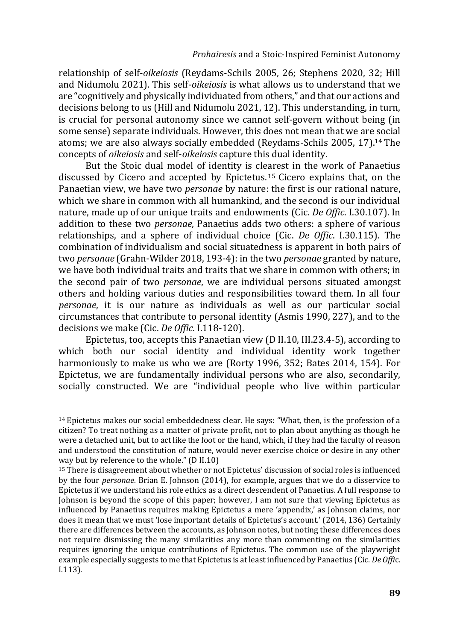relationship of self-*oikeiosis* (Reydams-Schils 2005, 26; Stephens 2020, 32; Hill and Nidumolu 2021). This self-*oikeiosis* is what allows us to understand that we are "cognitively and physically individuated from others," and that our actions and decisions belong to us (Hill and Nidumolu 2021, 12). This understanding, in turn, is crucial for personal autonomy since we cannot self-govern without being (in some sense) separate individuals. However, this does not mean that we are social atoms; we are also always socially embedded (Reydams-Schils 2005, 17).<sup>14</sup> The concepts of *oikeiosis* and self-*oikeiosis* capture this dual identity.

But the Stoic dual model of identity is clearest in the work of Panaetius discussed by Cicero and accepted by Epictetus. <sup>15</sup> Cicero explains that, on the Panaetian view, we have two *personae* by nature: the first is our rational nature, which we share in common with all humankind, and the second is our individual nature, made up of our unique traits and endowments (Cic. *De Offic*. I.30.107). In addition to these two *personae*, Panaetius adds two others: a sphere of various relationships, and a sphere of individual choice (Cic. *De Offic*. I.30.115). The combination of individualism and social situatedness is apparent in both pairs of two *personae* (Grahn-Wilder 2018, 193-4): in the two *personae* granted by nature, we have both individual traits and traits that we share in common with others; in the second pair of two *personae*, we are individual persons situated amongst others and holding various duties and responsibilities toward them. In all four *personae*, it is our nature as individuals as well as our particular social circumstances that contribute to personal identity (Asmis 1990, 227), and to the decisions we make (Cic. *De Offic*. I.118-120).

Epictetus, too, accepts this Panaetian view (D II.10, III.23.4-5), according to which both our social identity and individual identity work together harmoniously to make us who we are (Rorty 1996, 352; Bates 2014, 154). For Epictetus, we are fundamentally individual persons who are also, secondarily, socially constructed. We are "individual people who live within particular

<sup>&</sup>lt;sup>14</sup> Epictetus makes our social embeddedness clear. He says: "What, then, is the profession of a citizen? To treat nothing as a matter of private profit, not to plan about anything as though he were a detached unit, but to act like the foot or the hand, which, if they had the faculty of reason and understood the constitution of nature, would never exercise choice or desire in any other way but by reference to the whole." (D II.10)

<sup>15</sup> There is disagreement about whether or not Epictetus' discussion of social roles is influenced by the four *personae*. Brian E. Johnson (2014), for example, argues that we do a disservice to Epictetus if we understand his role ethics as a direct descendent of Panaetius. A full response to Johnson is beyond the scope of this paper; however, I am not sure that viewing Epictetus as influenced by Panaetius requires making Epictetus a mere 'appendix,' as Johnson claims, nor does it mean that we must 'lose important details of Epictetus's account.' (2014, 136) Certainly there are differences between the accounts, as Johnson notes, but noting these differences does not require dismissing the many similarities any more than commenting on the similarities requires ignoring the unique contributions of Epictetus. The common use of the playwright example especially suggests to me that Epictetus is at least influenced by Panaetius (Cic. *De Offi*c. I.113).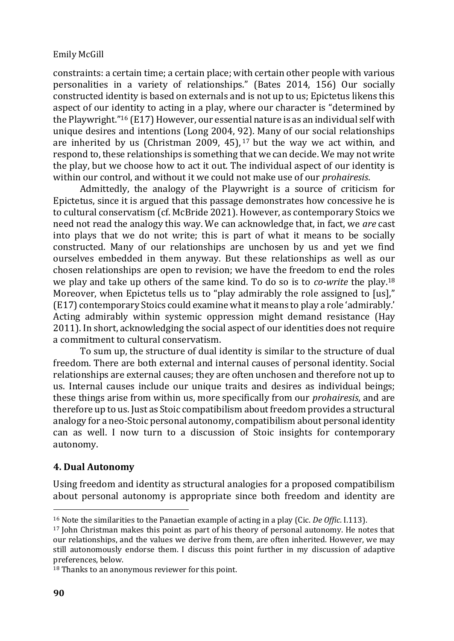constraints: a certain time; a certain place; with certain other people with various personalities in a variety of relationships." (Bates 2014, 156) Our socially constructed identity is based on externals and is not up to us; Epictetus likens this aspect of our identity to acting in a play, where our character is "determined by the Playwright." <sup>16</sup> (E17) However, our essential nature is as an individual self with unique desires and intentions (Long 2004, 92). Many of our social relationships are inherited by us (Christman 2009, 45),  $17$  but the way we act within, and respond to, these relationships is something that we can decide. We may not write the play, but we choose how to act it out. The individual aspect of our identity is within our control, and without it we could not make use of our *prohairesis*.

Admittedly, the analogy of the Playwright is a source of criticism for Epictetus, since it is argued that this passage demonstrates how concessive he is to cultural conservatism (cf. McBride 2021). However, as contemporary Stoics we need not read the analogy this way. We can acknowledge that, in fact, we *are* cast into plays that we do not write; this is part of what it means to be socially constructed. Many of our relationships are unchosen by us and yet we find ourselves embedded in them anyway. But these relationships as well as our chosen relationships are open to revision; we have the freedom to end the roles we play and take up others of the same kind. To do so is to *co-write* the play.<sup>18</sup> Moreover, when Epictetus tells us to "play admirably the role assigned to [us]," (E17) contemporary Stoics could examine what it means to play a role 'admirably.' Acting admirably within systemic oppression might demand resistance (Hay 2011). In short, acknowledging the social aspect of our identities does not require a commitment to cultural conservatism.

To sum up, the structure of dual identity is similar to the structure of dual freedom. There are both external and internal causes of personal identity. Social relationships are external causes; they are often unchosen and therefore not up to us. Internal causes include our unique traits and desires as individual beings; these things arise from within us, more specifically from our *prohairesis*, and are therefore up to us. Just as Stoic compatibilism about freedom provides a structural analogy for a neo-Stoic personal autonomy, compatibilism about personal identity can as well. I now turn to a discussion of Stoic insights for contemporary autonomy.

# **4. Dual Autonomy**

Using freedom and identity as structural analogies for a proposed compatibilism about personal autonomy is appropriate since both freedom and identity are

<sup>16</sup> Note the similarities to the Panaetian example of acting in a play (Cic. *De Offic*. I.113).

<sup>17</sup> John Christman makes this point as part of his theory of personal autonomy. He notes that our relationships, and the values we derive from them, are often inherited. However, we may still autonomously endorse them. I discuss this point further in my discussion of adaptive preferences, below.

<sup>18</sup> Thanks to an anonymous reviewer for this point.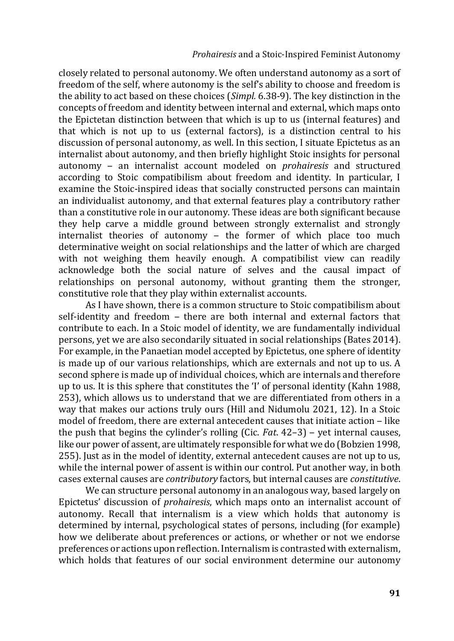#### *Prohairesis* and a Stoic-Inspired Feminist Autonomy

closely related to personal autonomy. We often understand autonomy as a sort of freedom of the self, where autonomy is the self's ability to choose and freedom is the ability to act based on these choices (*Simpl.* 6.38-9). The key distinction in the concepts of freedom and identity between internal and external, which maps onto the Epictetan distinction between that which is up to us (internal features) and that which is not up to us (external factors), is a distinction central to his discussion of personal autonomy, as well. In this section, I situate Epictetus as an internalist about autonomy, and then briefly highlight Stoic insights for personal autonomy ‒ an internalist account modeled on *prohairesis* and structured according to Stoic compatibilism about freedom and identity. In particular, I examine the Stoic-inspired ideas that socially constructed persons can maintain an individualist autonomy, and that external features play a contributory rather than a constitutive role in our autonomy. These ideas are both significant because they help carve a middle ground between strongly externalist and strongly internalist theories of autonomy  $-$  the former of which place too much determinative weight on social relationships and the latter of which are charged with not weighing them heavily enough. A compatibilist view can readily acknowledge both the social nature of selves and the causal impact of relationships on personal autonomy, without granting them the stronger, constitutive role that they play within externalist accounts.

As I have shown, there is a common structure to Stoic compatibilism about self-identity and freedom – there are both internal and external factors that contribute to each. In a Stoic model of identity, we are fundamentally individual persons, yet we are also secondarily situated in social relationships (Bates 2014). For example, in the Panaetian model accepted by Epictetus, one sphere of identity is made up of our various relationships, which are externals and not up to us. A second sphere is made up of individual choices, which are internals and therefore up to us. It is this sphere that constitutes the 'I' of personal identity (Kahn 1988, 253), which allows us to understand that we are differentiated from others in a way that makes our actions truly ours (Hill and Nidumolu 2021, 12). In a Stoic model of freedom, there are external antecedent causes that initiate action - like the push that begins the cylinder's rolling (Cic. *Fat*. 42–3) ‒ yet internal causes, like our power of assent, are ultimately responsible for what we do (Bobzien 1998, 255). Just as in the model of identity, external antecedent causes are not up to us, while the internal power of assent is within our control. Put another way, in both cases external causes are *contributory* factors, but internal causes are *constitutive*.

We can structure personal autonomy in an analogous way, based largely on Epictetus' discussion of *prohairesis*, which maps onto an internalist account of autonomy. Recall that internalism is a view which holds that autonomy is determined by internal, psychological states of persons, including (for example) how we deliberate about preferences or actions, or whether or not we endorse preferences or actions upon reflection. Internalism is contrasted with externalism, which holds that features of our social environment determine our autonomy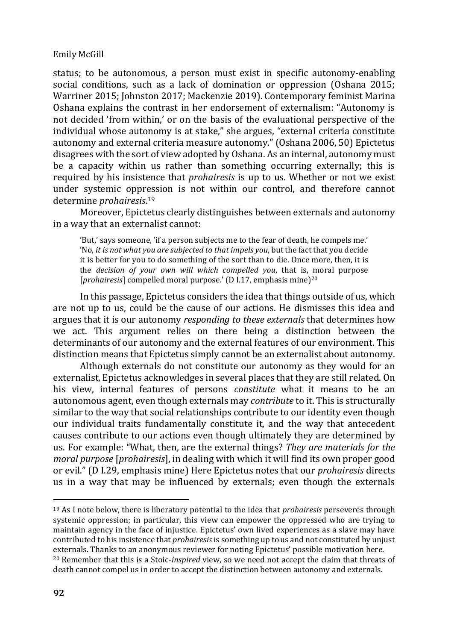status; to be autonomous, a person must exist in specific autonomy-enabling social conditions, such as a lack of domination or oppression (Oshana 2015; Warriner 2015; Johnston 2017; Mackenzie 2019). Contemporary feminist Marina Oshana explains the contrast in her endorsement of externalism: "Autonomy is not decided 'from within,' or on the basis of the evaluational perspective of the individual whose autonomy is at stake," she argues, "external criteria constitute autonomy and external criteria measure autonomy." (Oshana 2006, 50) Epictetus disagrees with the sort of view adopted by Oshana. As an internal, autonomy must be a capacity within us rather than something occurring externally; this is required by his insistence that *prohairesis* is up to us. Whether or not we exist under systemic oppression is not within our control, and therefore cannot determine *prohairesis*. 19

Moreover, Epictetus clearly distinguishes between externals and autonomy in a way that an externalist cannot:

'But,' says someone, 'if a person subjects me to the fear of death, he compels me.' 'No, *it is not what you are subjected to that impels you*, but the fact that you decide it is better for you to do something of the sort than to die. Once more, then, it is the *decision of your own will which compelled you*, that is, moral purpose [*prohairesis*] compelled moral purpose.' (D I.17, emphasis mine)<sup>20</sup>

In this passage, Epictetus considers the idea that things outside of us, which are not up to us, could be the cause of our actions. He dismisses this idea and argues that it is our autonomy *responding to these externals* that determines how we act. This argument relies on there being a distinction between the determinants of our autonomy and the external features of our environment. This distinction means that Epictetus simply cannot be an externalist about autonomy.

Although externals do not constitute our autonomy as they would for an externalist, Epictetus acknowledges in several places that they are still related. On his view, internal features of persons *constitute* what it means to be an autonomous agent, even though externals may *contribute* to it. This is structurally similar to the way that social relationships contribute to our identity even though our individual traits fundamentally constitute it, and the way that antecedent causes contribute to our actions even though ultimately they are determined by us. For example: "What, then, are the external things? *They are materials for the moral purpose* [*prohairesis*], in dealing with which it will find its own proper good or evil." (D I.29, emphasis mine) Here Epictetus notes that our *prohairesis* directs us in a way that may be influenced by externals; even though the externals

<sup>19</sup> As I note below, there is liberatory potential to the idea that *prohairesis* perseveres through systemic oppression; in particular, this view can empower the oppressed who are trying to maintain agency in the face of injustice. Epictetus' own lived experiences as a slave may have contributed to his insistence that *prohairesis*is something up to us and not constituted by unjust externals. Thanks to an anonymous reviewer for noting Epictetus' possible motivation here. <sup>20</sup> Remember that this is a Stoic-*inspired* view, so we need not accept the claim that threats of death cannot compel us in order to accept the distinction between autonomy and externals.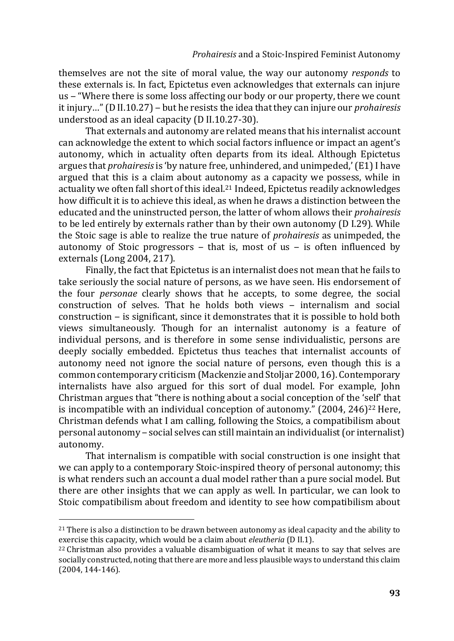themselves are not the site of moral value, the way our autonomy *responds* to these externals is. In fact, Epictetus even acknowledges that externals can injure us ‒ "Where there is some loss affecting our body or our property, there we count it injury…" (D II.10.27) ‒ but he resists the idea that they can injure our *prohairesis* understood as an ideal capacity (D II.10.27-30).

That externals and autonomy are related means that his internalist account can acknowledge the extent to which social factors influence or impact an agent's autonomy, which in actuality often departs from its ideal. Although Epictetus argues that *prohairesis* is 'by nature free, unhindered, and unimpeded,' (E1) I have argued that this is a claim about autonomy as a capacity we possess, while in actuality we often fall short of this ideal.<sup>21</sup> Indeed, Epictetus readily acknowledges how difficult it is to achieve this ideal, as when he draws a distinction between the educated and the uninstructed person, the latter of whom allows their *prohairesis* to be led entirely by externals rather than by their own autonomy (D I.29). While the Stoic sage is able to realize the true nature of *prohairesis* as unimpeded, the autonomy of Stoic progressors  $-$  that is, most of us  $-$  is often influenced by externals (Long 2004, 217).

Finally, the fact that Epictetus is an internalist does not mean that he fails to take seriously the social nature of persons, as we have seen. His endorsement of the four *personae* clearly shows that he accepts, to some degree, the social  $constant$  construction of selves. That he holds both views  $-$  internalism and social construction ‒ is significant, since it demonstrates that it is possible to hold both views simultaneously. Though for an internalist autonomy is a feature of individual persons, and is therefore in some sense individualistic, persons are deeply socially embedded. Epictetus thus teaches that internalist accounts of autonomy need not ignore the social nature of persons, even though this is a common contemporary criticism (Mackenzie and Stoljar 2000, 16). Contemporary internalists have also argued for this sort of dual model. For example, John Christman argues that "there is nothing about a social conception of the 'self' that is incompatible with an individual conception of autonomy."  $(2004, 246)^{22}$  Here, Christman defends what I am calling, following the Stoics, a compatibilism about personal autonomy ‒ social selves can still maintain an individualist (or internalist) autonomy.

That internalism is compatible with social construction is one insight that we can apply to a contemporary Stoic-inspired theory of personal autonomy; this is what renders such an account a dual model rather than a pure social model. But there are other insights that we can apply as well. In particular, we can look to Stoic compatibilism about freedom and identity to see how compatibilism about

<sup>21</sup> There is also a distinction to be drawn between autonomy as ideal capacity and the ability to exercise this capacity, which would be a claim about *eleutheria* (D II.1).

<sup>22</sup> Christman also provides a valuable disambiguation of what it means to say that selves are socially constructed, noting that there are more and less plausible ways to understand this claim (2004, 144-146).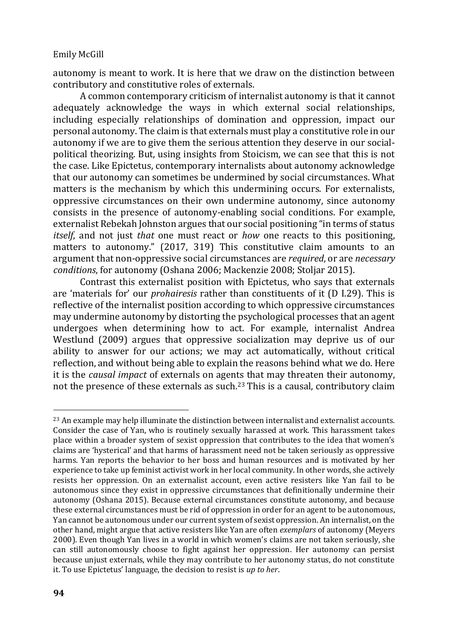autonomy is meant to work. It is here that we draw on the distinction between contributory and constitutive roles of externals.

A common contemporary criticism of internalist autonomy is that it cannot adequately acknowledge the ways in which external social relationships, including especially relationships of domination and oppression, impact our personal autonomy. The claim is that externals must play a constitutive role in our autonomy if we are to give them the serious attention they deserve in our socialpolitical theorizing. But, using insights from Stoicism, we can see that this is not the case. Like Epictetus, contemporary internalists about autonomy acknowledge that our autonomy can sometimes be undermined by social circumstances. What matters is the mechanism by which this undermining occurs. For externalists, oppressive circumstances on their own undermine autonomy, since autonomy consists in the presence of autonomy-enabling social conditions. For example, externalist Rebekah Johnston argues that our social positioning "in terms of status *itself*, and not just *that* one must react or *how* one reacts to this positioning, matters to autonomy." (2017, 319) This constitutive claim amounts to an argument that non-oppressive social circumstances are *required*, or are *necessary conditions*, for autonomy (Oshana 2006; Mackenzie 2008; Stoljar 2015).

Contrast this externalist position with Epictetus, who says that externals are 'materials for' our *prohairesis* rather than constituents of it (D I.29). This is reflective of the internalist position according to which oppressive circumstances may undermine autonomy by distorting the psychological processes that an agent undergoes when determining how to act. For example, internalist Andrea Westlund (2009) argues that oppressive socialization may deprive us of our ability to answer for our actions; we may act automatically, without critical reflection, and without being able to explain the reasons behind what we do. Here it is the *causal impact* of externals on agents that may threaten their autonomy, not the presence of these externals as such.<sup>23</sup> This is a causal, contributory claim

<sup>&</sup>lt;sup>23</sup> An example may help illuminate the distinction between internalist and externalist accounts. Consider the case of Yan, who is routinely sexually harassed at work. This harassment takes place within a broader system of sexist oppression that contributes to the idea that women's claims are 'hysterical' and that harms of harassment need not be taken seriously as oppressive harms. Yan reports the behavior to her boss and human resources and is motivated by her experience to take up feminist activist work in her local community. In other words, she actively resists her oppression. On an externalist account, even active resisters like Yan fail to be autonomous since they exist in oppressive circumstances that definitionally undermine their autonomy (Oshana 2015). Because external circumstances constitute autonomy, and because these external circumstances must be rid of oppression in order for an agent to be autonomous, Yan cannot be autonomous under our current system of sexist oppression. An internalist, on the other hand, might argue that active resisters like Yan are often *exemplars* of autonomy (Meyers 2000). Even though Yan lives in a world in which women's claims are not taken seriously, she can still autonomously choose to fight against her oppression. Her autonomy can persist because unjust externals, while they may contribute to her autonomy status, do not constitute it. To use Epictetus' language, the decision to resist is *up to her*.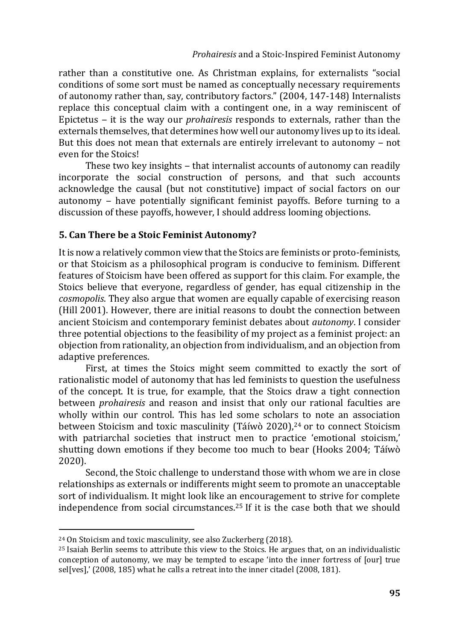rather than a constitutive one. As Christman explains, for externalists "social conditions of some sort must be named as conceptually necessary requirements of autonomy rather than, say, contributory factors." (2004, 147-148) Internalists replace this conceptual claim with a contingent one, in a way reminiscent of Epictetus ‒ it is the way our *prohairesis* responds to externals, rather than the externals themselves, that determines how well our autonomy lives up to its ideal. But this does not mean that externals are entirely irrelevant to autonomy – not even for the Stoics!

These two key insights – that internalist accounts of autonomy can readily incorporate the social construction of persons, and that such accounts acknowledge the causal (but not constitutive) impact of social factors on our autonomy ‒ have potentially significant feminist payoffs. Before turning to a discussion of these payoffs, however, I should address looming objections.

# **5. Can There be a Stoic Feminist Autonomy?**

It is now a relatively common view that the Stoics are feminists or proto-feminists, or that Stoicism as a philosophical program is conducive to feminism. Different features of Stoicism have been offered as support for this claim. For example, the Stoics believe that everyone, regardless of gender, has equal citizenship in the *cosmopolis*. They also argue that women are equally capable of exercising reason (Hill 2001). However, there are initial reasons to doubt the connection between ancient Stoicism and contemporary feminist debates about *autonomy*. I consider three potential objections to the feasibility of my project as a feminist project: an objection from rationality, an objection from individualism, and an objection from adaptive preferences.

First, at times the Stoics might seem committed to exactly the sort of rationalistic model of autonomy that has led feminists to question the usefulness of the concept. It is true, for example, that the Stoics draw a tight connection between *prohairesis* and reason and insist that only our rational faculties are wholly within our control. This has led some scholars to note an association between Stoicism and toxic masculinity (Táíwò 2020),<sup>24</sup> or to connect Stoicism with patriarchal societies that instruct men to practice 'emotional stoicism,' shutting down emotions if they become too much to bear (Hooks 2004; Táíwò 2020).

Second, the Stoic challenge to understand those with whom we are in close relationships as externals or indifferents might seem to promote an unacceptable sort of individualism. It might look like an encouragement to strive for complete independence from social circumstances.<sup>25</sup> If it is the case both that we should

<sup>24</sup> On Stoicism and toxic masculinity, see also Zuckerberg (2018).

<sup>25</sup> Isaiah Berlin seems to attribute this view to the Stoics. He argues that, on an individualistic conception of autonomy, we may be tempted to escape 'into the inner fortress of [our] true sel[ves],' (2008, 185) what he calls a retreat into the inner citadel (2008, 181).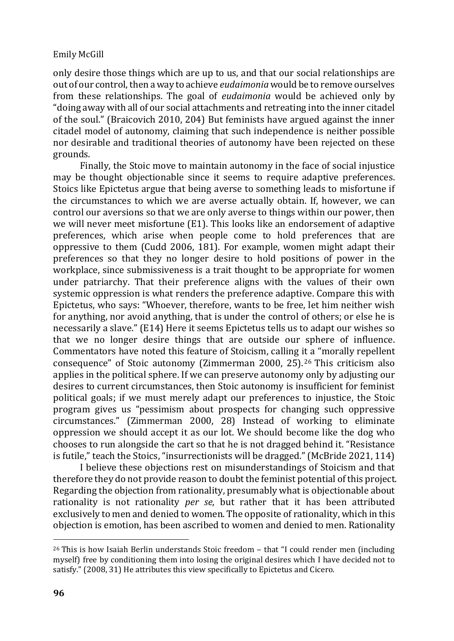only desire those things which are up to us, and that our social relationships are out of our control, then a way to achieve *eudaimonia* would be to remove ourselves from these relationships. The goal of *eudaimonia* would be achieved only by "doing away with all of our social attachments and retreating into the inner citadel of the soul." (Braicovich 2010, 204) But feminists have argued against the inner citadel model of autonomy, claiming that such independence is neither possible nor desirable and traditional theories of autonomy have been rejected on these grounds.

Finally, the Stoic move to maintain autonomy in the face of social injustice may be thought objectionable since it seems to require adaptive preferences. Stoics like Epictetus argue that being averse to something leads to misfortune if the circumstances to which we are averse actually obtain. If, however, we can control our aversions so that we are only averse to things within our power, then we will never meet misfortune (E1). This looks like an endorsement of adaptive preferences, which arise when people come to hold preferences that are oppressive to them (Cudd 2006, 181). For example, women might adapt their preferences so that they no longer desire to hold positions of power in the workplace, since submissiveness is a trait thought to be appropriate for women under patriarchy. That their preference aligns with the values of their own systemic oppression is what renders the preference adaptive. Compare this with Epictetus, who says: "Whoever, therefore, wants to be free, let him neither wish for anything, nor avoid anything, that is under the control of others; or else he is necessarily a slave." (E14) Here it seems Epictetus tells us to adapt our wishes so that we no longer desire things that are outside our sphere of influence. Commentators have noted this feature of Stoicism, calling it a "morally repellent consequence" of Stoic autonomy (Zimmerman 2000, 25). 26 This criticism also applies in the political sphere. If we can preserve autonomy only by adjusting our desires to current circumstances, then Stoic autonomy is insufficient for feminist political goals; if we must merely adapt our preferences to injustice, the Stoic program gives us "pessimism about prospects for changing such oppressive circumstances." (Zimmerman 2000, 28) Instead of working to eliminate oppression we should accept it as our lot. We should become like the dog who chooses to run alongside the cart so that he is not dragged behind it. "Resistance is futile," teach the Stoics, "insurrectionists will be dragged." (McBride 2021, 114)

I believe these objections rest on misunderstandings of Stoicism and that therefore they do not provide reason to doubt the feminist potential of this project. Regarding the objection from rationality, presumably what is objectionable about rationality is not rationality *per se*, but rather that it has been attributed exclusively to men and denied to women. The opposite of rationality, which in this objection is emotion, has been ascribed to women and denied to men. Rationality

<sup>&</sup>lt;sup>26</sup> This is how Isaiah Berlin understands Stoic freedom - that "I could render men (including myself) free by conditioning them into losing the original desires which I have decided not to satisfy." (2008, 31) He attributes this view specifically to Epictetus and Cicero.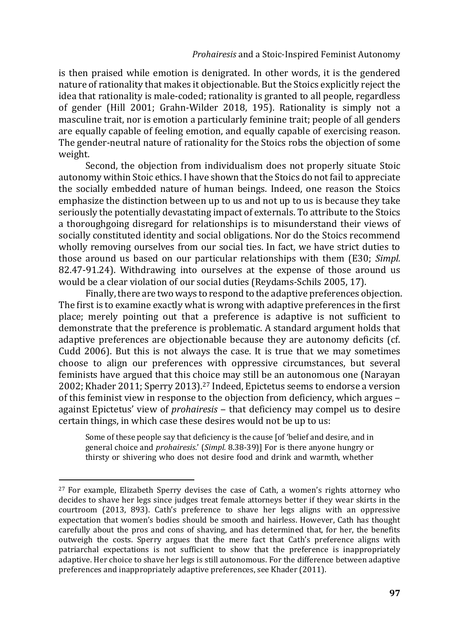is then praised while emotion is denigrated. In other words, it is the gendered nature of rationality that makes it objectionable. But the Stoics explicitly reject the idea that rationality is male-coded; rationality is granted to all people, regardless of gender (Hill 2001; Grahn-Wilder 2018, 195). Rationality is simply not a masculine trait, nor is emotion a particularly feminine trait; people of all genders are equally capable of feeling emotion, and equally capable of exercising reason. The gender-neutral nature of rationality for the Stoics robs the objection of some weight.

Second, the objection from individualism does not properly situate Stoic autonomy within Stoic ethics. I have shown that the Stoics do not fail to appreciate the socially embedded nature of human beings. Indeed, one reason the Stoics emphasize the distinction between up to us and not up to us is because they take seriously the potentially devastating impact of externals. To attribute to the Stoics a thoroughgoing disregard for relationships is to misunderstand their views of socially constituted identity and social obligations. Nor do the Stoics recommend wholly removing ourselves from our social ties. In fact, we have strict duties to those around us based on our particular relationships with them (E30; *Simpl.* 82.47-91.24). Withdrawing into ourselves at the expense of those around us would be a clear violation of our social duties (Reydams-Schils 2005, 17).

Finally, there are two ways to respond to the adaptive preferences objection. The first is to examine exactly what is wrong with adaptive preferences in the first place; merely pointing out that a preference is adaptive is not sufficient to demonstrate that the preference is problematic. A standard argument holds that adaptive preferences are objectionable because they are autonomy deficits (cf. Cudd 2006). But this is not always the case. It is true that we may sometimes choose to align our preferences with oppressive circumstances, but several feminists have argued that this choice may still be an autonomous one (Narayan 2002; Khader 2011; Sperry 2013).<sup>27</sup> Indeed, Epictetus seems to endorse a version of this feminist view in response to the objection from deficiency, which argues – against Epictetus' view of *prohairesis* – that deficiency may compel us to desire certain things, in which case these desires would not be up to us:

Some of these people say that deficiency is the cause [of 'belief and desire, and in general choice and *prohairesis*.' (*Simpl.* 8.38-39)] For is there anyone hungry or thirsty or shivering who does not desire food and drink and warmth, whether

<sup>&</sup>lt;sup>27</sup> For example, Elizabeth Sperry devises the case of Cath, a women's rights attorney who decides to shave her legs since judges treat female attorneys better if they wear skirts in the courtroom (2013, 893). Cath's preference to shave her legs aligns with an oppressive expectation that women's bodies should be smooth and hairless. However, Cath has thought carefully about the pros and cons of shaving, and has determined that, for her, the benefits outweigh the costs. Sperry argues that the mere fact that Cath's preference aligns with patriarchal expectations is not sufficient to show that the preference is inappropriately adaptive. Her choice to shave her legs is still autonomous. For the difference between adaptive preferences and inappropriately adaptive preferences, see Khader (2011).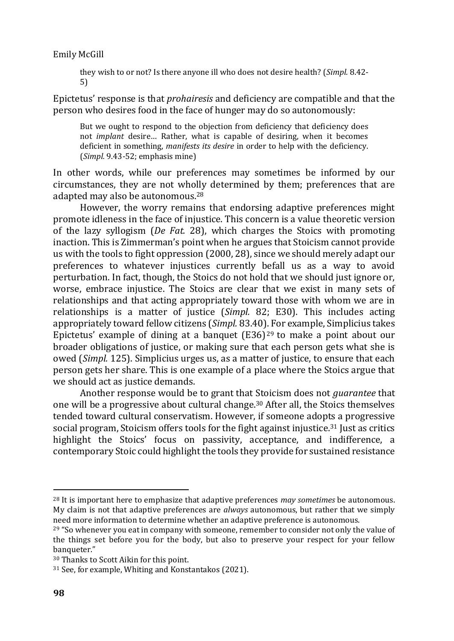they wish to or not? Is there anyone ill who does not desire health? (*Simpl.* 8.42- 5)

Epictetus' response is that *prohairesis* and deficiency are compatible and that the person who desires food in the face of hunger may do so autonomously:

But we ought to respond to the objection from deficiency that deficiency does not *implant* desire… Rather, what is capable of desiring, when it becomes deficient in something, *manifests its desire* in order to help with the deficiency. (*Simpl.* 9.43-52; emphasis mine)

In other words, while our preferences may sometimes be informed by our circumstances, they are not wholly determined by them; preferences that are adapted may also be autonomous.<sup>28</sup>

However, the worry remains that endorsing adaptive preferences might promote idleness in the face of injustice. This concern is a value theoretic version of the lazy syllogism (*De Fat.* 28), which charges the Stoics with promoting inaction. This is Zimmerman's point when he argues that Stoicism cannot provide us with the tools to fight oppression (2000, 28), since we should merely adapt our preferences to whatever injustices currently befall us as a way to avoid perturbation. In fact, though, the Stoics do not hold that we should just ignore or, worse, embrace injustice. The Stoics are clear that we exist in many sets of relationships and that acting appropriately toward those with whom we are in relationships is a matter of justice (*Simpl.* 82; E30). This includes acting appropriately toward fellow citizens (*Simpl.* 83.40). For example, Simplicius takes Epictetus' example of dining at a banquet (E36) <sup>29</sup> to make a point about our broader obligations of justice, or making sure that each person gets what she is owed (*Simpl.* 125). Simplicius urges us, as a matter of justice, to ensure that each person gets her share. This is one example of a place where the Stoics argue that we should act as justice demands.

Another response would be to grant that Stoicism does not *guarantee* that one will be a progressive about cultural change.<sup>30</sup> After all, the Stoics themselves tended toward cultural conservatism. However, if someone adopts a progressive social program, Stoicism offers tools for the fight against injustice.<sup>31</sup> Just as critics highlight the Stoics' focus on passivity, acceptance, and indifference, a contemporary Stoic could highlight the tools they provide for sustained resistance

<sup>28</sup> It is important here to emphasize that adaptive preferences *may sometimes* be autonomous. My claim is not that adaptive preferences are *always* autonomous, but rather that we simply need more information to determine whether an adaptive preference is autonomous.

 $29$  "So whenever you eat in company with someone, remember to consider not only the value of the things set before you for the body, but also to preserve your respect for your fellow banqueter."

<sup>30</sup> Thanks to Scott Aikin for this point.

<sup>31</sup> See, for example, Whiting and Konstantakos (2021).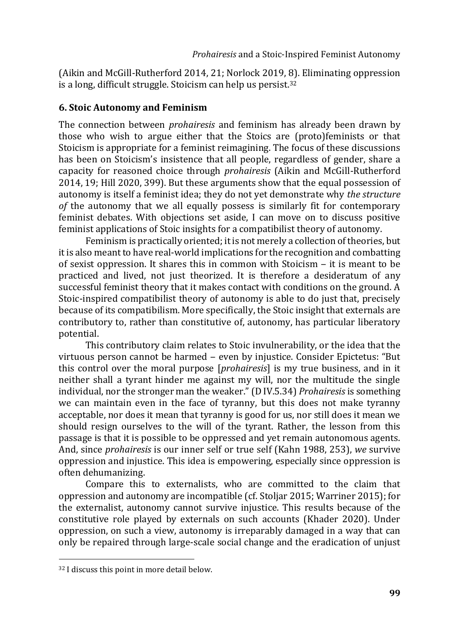(Aikin and McGill-Rutherford 2014, 21; Norlock 2019, 8). Eliminating oppression is a long, difficult struggle. Stoicism can help us persist.<sup>32</sup>

## **6. Stoic Autonomy and Feminism**

The connection between *prohairesis* and feminism has already been drawn by those who wish to argue either that the Stoics are (proto)feminists or that Stoicism is appropriate for a feminist reimagining. The focus of these discussions has been on Stoicism's insistence that all people, regardless of gender, share a capacity for reasoned choice through *prohairesis* (Aikin and McGill-Rutherford 2014, 19; Hill 2020, 399). But these arguments show that the equal possession of autonomy is itself a feminist idea; they do not yet demonstrate why *the structure of* the autonomy that we all equally possess is similarly fit for contemporary feminist debates. With objections set aside, I can move on to discuss positive feminist applications of Stoic insights for a compatibilist theory of autonomy.

Feminism is practically oriented; it is not merely a collection of theories, but it is also meant to have real-world implications for the recognition and combatting of sexist oppression. It shares this in common with Stoicism  $-$  it is meant to be practiced and lived, not just theorized. It is therefore a desideratum of any successful feminist theory that it makes contact with conditions on the ground. A Stoic-inspired compatibilist theory of autonomy is able to do just that, precisely because of its compatibilism. More specifically, the Stoic insight that externals are contributory to, rather than constitutive of, autonomy, has particular liberatory potential.

This contributory claim relates to Stoic invulnerability, or the idea that the virtuous person cannot be harmed ‒ even by injustice. Consider Epictetus: "But this control over the moral purpose [*prohairesis*] is my true business, and in it neither shall a tyrant hinder me against my will, nor the multitude the single individual, nor the stronger man the weaker." (D IV.5.34) *Prohairesis* is something we can maintain even in the face of tyranny, but this does not make tyranny acceptable, nor does it mean that tyranny is good for us, nor still does it mean we should resign ourselves to the will of the tyrant. Rather, the lesson from this passage is that it is possible to be oppressed and yet remain autonomous agents. And, since *prohairesis* is our inner self or true self (Kahn 1988, 253), *we* survive oppression and injustice. This idea is empowering, especially since oppression is often dehumanizing.

Compare this to externalists, who are committed to the claim that oppression and autonomy are incompatible (cf. Stoljar 2015; Warriner 2015); for the externalist, autonomy cannot survive injustice. This results because of the constitutive role played by externals on such accounts (Khader 2020). Under oppression, on such a view, autonomy is irreparably damaged in a way that can only be repaired through large-scale social change and the eradication of unjust

<sup>32</sup> I discuss this point in more detail below.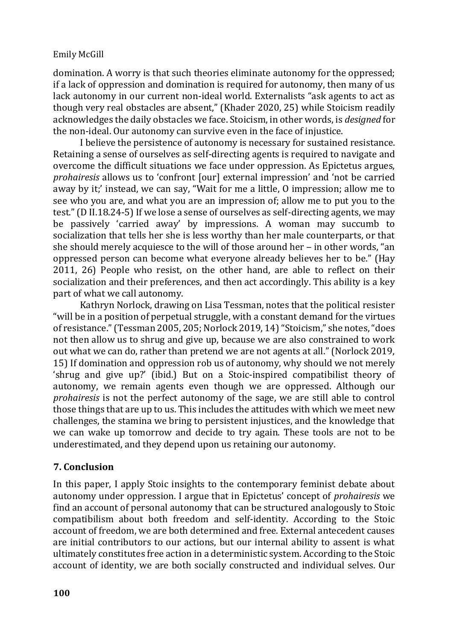domination. A worry is that such theories eliminate autonomy for the oppressed; if a lack of oppression and domination is required for autonomy, then many of us lack autonomy in our current non-ideal world. Externalists "ask agents to act as though very real obstacles are absent," (Khader 2020, 25) while Stoicism readily acknowledges the daily obstacles we face. Stoicism, in other words, is *designed* for the non-ideal. Our autonomy can survive even in the face of injustice.

I believe the persistence of autonomy is necessary for sustained resistance. Retaining a sense of ourselves as self-directing agents is required to navigate and overcome the difficult situations we face under oppression. As Epictetus argues, *prohairesis* allows us to 'confront [our] external impression' and 'not be carried away by it;' instead, we can say, "Wait for me a little, O impression; allow me to see who you are, and what you are an impression of; allow me to put you to the test." (D II.18.24-5) If we lose a sense of ourselves as self-directing agents, we may be passively 'carried away' by impressions. A woman may succumb to socialization that tells her she is less worthy than her male counterparts, or that she should merely acquiesce to the will of those around her  $-$  in other words, "an oppressed person can become what everyone already believes her to be." (Hay 2011, 26) People who resist, on the other hand, are able to reflect on their socialization and their preferences, and then act accordingly. This ability is a key part of what we call autonomy.

Kathryn Norlock, drawing on Lisa Tessman, notes that the political resister "will be in a position of perpetual struggle, with a constant demand for the virtues of resistance." (Tessman 2005, 205; Norlock 2019, 14) "Stoicism," she notes, "does not then allow us to shrug and give up, because we are also constrained to work out what we can do, rather than pretend we are not agents at all." (Norlock 2019, 15) If domination and oppression rob us of autonomy, why should we not merely 'shrug and give up?' (ibid.) But on a Stoic-inspired compatibilist theory of autonomy, we remain agents even though we are oppressed. Although our *prohairesis* is not the perfect autonomy of the sage, we are still able to control those things that are up to us. This includes the attitudes with which we meet new challenges, the stamina we bring to persistent injustices, and the knowledge that we can wake up tomorrow and decide to try again. These tools are not to be underestimated, and they depend upon us retaining our autonomy.

# **7. Conclusion**

In this paper, I apply Stoic insights to the contemporary feminist debate about autonomy under oppression. I argue that in Epictetus' concept of *prohairesis* we find an account of personal autonomy that can be structured analogously to Stoic compatibilism about both freedom and self-identity. According to the Stoic account of freedom, we are both determined and free. External antecedent causes are initial contributors to our actions, but our internal ability to assent is what ultimately constitutes free action in a deterministic system. According to the Stoic account of identity, we are both socially constructed and individual selves. Our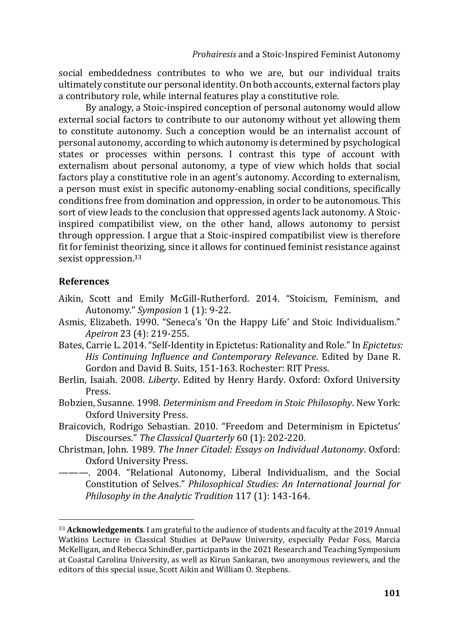social embeddedness contributes to who we are, but our individual traits ultimately constitute our personal identity. On both accounts, external factors play a contributory role, while internal features play a constitutive role.

By analogy, a Stoic-inspired conception of personal autonomy would allow external social factors to contribute to our autonomy without yet allowing them to constitute autonomy. Such a conception would be an internalist account of personal autonomy, according to which autonomy is determined by psychological states or processes within persons. I contrast this type of account with externalism about personal autonomy, a type of view which holds that social factors play a constitutive role in an agent's autonomy. According to externalism, a person must exist in specific autonomy-enabling social conditions, specifically conditions free from domination and oppression, in order to be autonomous. This sort of view leads to the conclusion that oppressed agents lack autonomy. A Stoicinspired compatibilist view, on the other hand, allows autonomy to persist through oppression. I argue that a Stoic-inspired compatibilist view is therefore fit for feminist theorizing, since it allows for continued feminist resistance against sexist oppression.<sup>33</sup>

## **References**

- Aikin, Scott and Emily McGill-Rutherford. 2014. "Stoicism, Feminism, and Autonomy." *Symposion* 1 (1): 9-22.
- Asmis, Elizabeth. 1990. "Seneca's 'On the Happy Life' and Stoic Individualism." *Apeiron* 23 (4): 219-255.
- Bates, Carrie L. 2014. "Self-Identity in Epictetus: Rationality and Role." In *Epictetus: His Continuing Influence and Contemporary Relevance*. Edited by Dane R. Gordon and David B. Suits, 151-163. Rochester: RIT Press.
- Berlin, Isaiah. 2008. *Liberty*. Edited by Henry Hardy. Oxford: Oxford University Press.
- Bobzien, Susanne. 1998. *Determinism and Freedom in Stoic Philosophy*. New York: Oxford University Press.
- Braicovich, Rodrigo Sebastian. 2010. "Freedom and Determinism in Epictetus' Discourses." *The Classical Quarterly* 60 (1): 202-220.
- Christman, John. 1989. *The Inner Citadel: Essays on Individual Autonomy*. Oxford: Oxford University Press.
- ———. 2004. "Relational Autonomy, Liberal Individualism, and the Social Constitution of Selves." *Philosophical Studies: An International Journal for Philosophy in the Analytic Tradition* 117 (1): 143-164.

<sup>33</sup> **Acknowledgements**. I am grateful to the audience of students and faculty at the 2019 Annual Watkins Lecture in Classical Studies at DePauw University, especially Pedar Foss, Marcia McKelligan, and Rebecca Schindler, participants in the 2021 Research and Teaching Symposium at Coastal Carolina University, as well as Kirun Sankaran, two anonymous reviewers, and the editors of this special issue, Scott Aikin and William O. Stephens.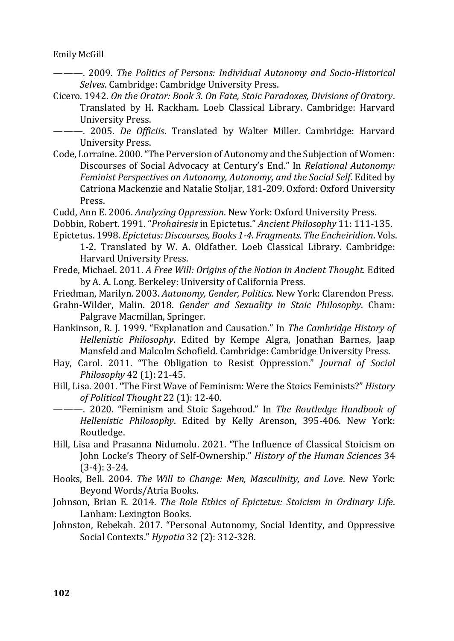———. 2009. *The Politics of Persons: Individual Autonomy and Socio-Historical Selves*. Cambridge: Cambridge University Press.

- Cicero. 1942. *On the Orator: Book 3. On Fate, Stoic Paradoxes, Divisions of Oratory*. Translated by H. Rackham. Loeb Classical Library. Cambridge: Harvard University Press.
- ———. 2005. *De Officiis*. Translated by Walter Miller. Cambridge: Harvard University Press.
- Code, Lorraine. 2000. "The Perversion of Autonomy and the Subjection of Women: Discourses of Social Advocacy at Century's End." In *Relational Autonomy: Feminist Perspectives on Autonomy, Autonomy, and the Social Self*. Edited by Catriona Mackenzie and Natalie Stoljar, 181-209. Oxford: Oxford University Press.
- Cudd, Ann E. 2006. *Analyzing Oppression*. New York: Oxford University Press.
- Dobbin, Robert. 1991. "*Prohairesis* in Epictetus." *Ancient Philosophy* 11: 111-135. Epictetus. 1998. *Epictetus: Discourses, Books 1-4. Fragments. The Encheiridion*. Vols.
	- 1-2. Translated by W. A. Oldfather. Loeb Classical Library. Cambridge: Harvard University Press.
- Frede, Michael. 2011. *A Free Will: Origins of the Notion in Ancient Thought.* Edited by A. A. Long. Berkeley: University of California Press.
- Friedman, Marilyn. 2003. *Autonomy, Gender, Politics*. New York: Clarendon Press.
- Grahn-Wilder, Malin. 2018. *Gender and Sexuality in Stoic Philosophy*. Cham: Palgrave Macmillan, Springer.
- Hankinson, R. J. 1999. "Explanation and Causation." In *The Cambridge History of Hellenistic Philosophy*. Edited by Kempe Algra, Jonathan Barnes, Jaap Mansfeld and Malcolm Schofield. Cambridge: Cambridge University Press.
- Hay, Carol. 2011. "The Obligation to Resist Oppression." *Journal of Social Philosophy* 42 (1): 21-45.
- Hill, Lisa. 2001. "The First Wave of Feminism: Were the Stoics Feminists?" *History of Political Thought* 22 (1): 12-40.
- ———. 2020. "Feminism and Stoic Sagehood." In *The Routledge Handbook of Hellenistic Philosophy*. Edited by Kelly Arenson, 395-406. New York: Routledge.
- Hill, Lisa and Prasanna Nidumolu. 2021. "The Influence of Classical Stoicism on John Locke's Theory of Self-Ownership." *History of the Human Sciences* 34 (3-4): 3-24.
- Hooks, Bell. 2004. *The Will to Change: Men, Masculinity, and Love*. New York: Beyond Words/Atria Books.
- Johnson, Brian E. 2014. *The Role Ethics of Epictetus: Stoicism in Ordinary Life*. Lanham: Lexington Books.
- Johnston, Rebekah. 2017. "Personal Autonomy, Social Identity, and Oppressive Social Contexts." *Hypatia* 32 (2): 312-328.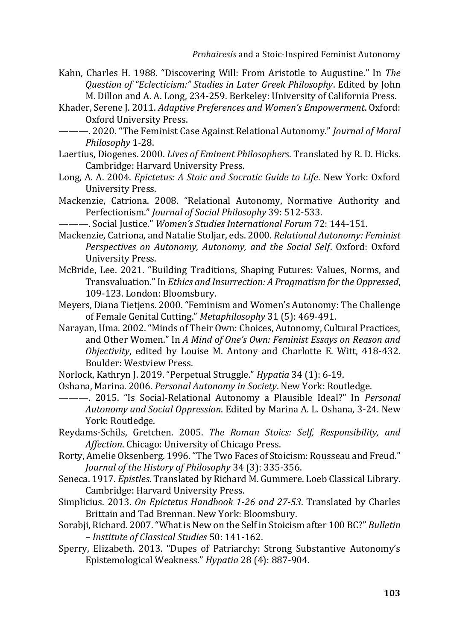- Kahn, Charles H. 1988. "Discovering Will: From Aristotle to Augustine." In *The Question of "Eclecticism:" Studies in Later Greek Philosophy*. Edited by John M. Dillon and A. A. Long, 234-259. Berkeley: University of California Press.
- Khader, Serene J. 2011. *Adaptive Preferences and Women's Empowerment*. Oxford: Oxford University Press.
- ———. 2020. "The Feminist Case Against Relational Autonomy." *Journal of Moral Philosophy* 1-28.
- Laertius, Diogenes. 2000. *Lives of Eminent Philosophers*. Translated by R. D. Hicks. Cambridge: Harvard University Press.
- Long, A. A. 2004. *Epictetus: A Stoic and Socratic Guide to Life*. New York: Oxford University Press.
- Mackenzie, Catriona. 2008. "Relational Autonomy, Normative Authority and Perfectionism." *Journal of Social Philosophy* 39: 512-533.
- ———. Social Justice." *Women's Studies International Forum* 72: 144-151.
- Mackenzie, Catriona, and Natalie Stoljar, eds. 2000. *Relational Autonomy: Feminist Perspectives on Autonomy, Autonomy, and the Social Self*. Oxford: Oxford University Press.
- McBride, Lee. 2021. "Building Traditions, Shaping Futures: Values, Norms, and Transvaluation." In *Ethics and Insurrection: A Pragmatism for the Oppressed*, 109-123. London: Bloomsbury.
- Meyers, Diana Tietjens. 2000. "Feminism and Women's Autonomy: The Challenge of Female Genital Cutting." *Metaphilosophy* 31 (5): 469-491.
- Narayan, Uma. 2002. "Minds of Their Own: Choices, Autonomy, Cultural Practices, and Other Women." In *A Mind of One's Own: Feminist Essays on Reason and Objectivity*, edited by Louise M. Antony and Charlotte E. Witt, 418-432. Boulder: Westview Press.
- Norlock, Kathryn J. 2019. "Perpetual Struggle." *Hypatia* 34 (1): 6-19.
- Oshana, Marina. 2006. *Personal Autonomy in Society*. New York: Routledge.
- ———. 2015. "Is Social-Relational Autonomy a Plausible Ideal?" In *Personal Autonomy and Social Oppression*. Edited by Marina A. L. Oshana, 3-24. New York: Routledge.
- Reydams-Schils, Gretchen. 2005. *The Roman Stoics: Self, Responsibility, and Affection*. Chicago: University of Chicago Press.
- Rorty, Amelie Oksenberg. 1996. "The Two Faces of Stoicism: Rousseau and Freud." *Journal of the History of Philosophy* 34 (3): 335-356.
- Seneca. 1917. *Epistles*. Translated by Richard M. Gummere. Loeb Classical Library. Cambridge: Harvard University Press.
- Simplicius. 2013. *On Epictetus Handbook 1-26 and 27-53*. Translated by Charles Brittain and Tad Brennan. New York: Bloomsbury.
- Sorabji, Richard. 2007. "What is New on the Self in Stoicism after 100 BC?" *Bulletin – Institute of Classical Studies* 50: 141-162.
- Sperry, Elizabeth. 2013. "Dupes of Patriarchy: Strong Substantive Autonomy's Epistemological Weakness." *Hypatia* 28 (4): 887-904.